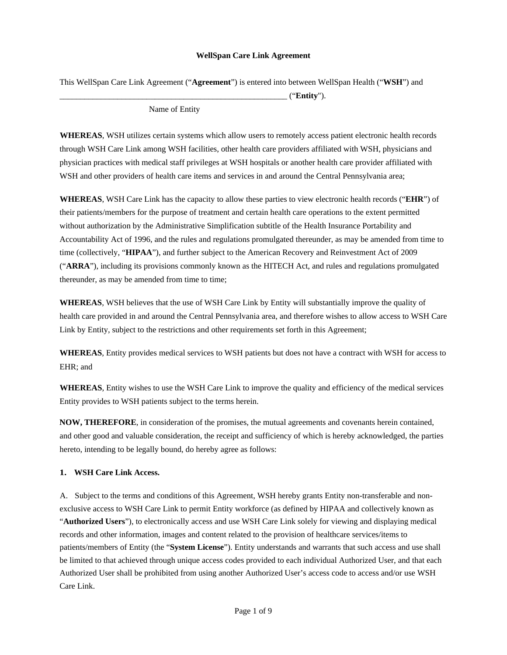#### **WellSpan Care Link Agreement**

This WellSpan Care Link Agreement ("**Agreement**") is entered into between WellSpan Health ("**WSH**") and

\_\_\_\_\_\_\_\_\_\_\_\_\_\_\_\_\_\_\_\_\_\_\_\_\_\_\_\_\_\_\_\_\_\_\_\_\_\_\_\_\_\_\_\_\_\_\_\_\_\_\_\_\_\_\_ ("**Entity**").

Name of Entity

**WHEREAS**, WSH utilizes certain systems which allow users to remotely access patient electronic health records through WSH Care Link among WSH facilities, other health care providers affiliated with WSH, physicians and physician practices with medical staff privileges at WSH hospitals or another health care provider affiliated with WSH and other providers of health care items and services in and around the Central Pennsylvania area;

**WHEREAS**, WSH Care Link has the capacity to allow these parties to view electronic health records ("**EHR**") of their patients/members for the purpose of treatment and certain health care operations to the extent permitted without authorization by the Administrative Simplification subtitle of the Health Insurance Portability and Accountability Act of 1996, and the rules and regulations promulgated thereunder, as may be amended from time to time (collectively, "**HIPAA**"), and further subject to the American Recovery and Reinvestment Act of 2009 ("**ARRA**"), including its provisions commonly known as the HITECH Act, and rules and regulations promulgated thereunder, as may be amended from time to time;

**WHEREAS**, WSH believes that the use of WSH Care Link by Entity will substantially improve the quality of health care provided in and around the Central Pennsylvania area, and therefore wishes to allow access to WSH Care Link by Entity, subject to the restrictions and other requirements set forth in this Agreement;

**WHEREAS**, Entity provides medical services to WSH patients but does not have a contract with WSH for access to EHR; and

**WHEREAS**, Entity wishes to use the WSH Care Link to improve the quality and efficiency of the medical services Entity provides to WSH patients subject to the terms herein.

**NOW, THEREFORE**, in consideration of the promises, the mutual agreements and covenants herein contained, and other good and valuable consideration, the receipt and sufficiency of which is hereby acknowledged, the parties hereto, intending to be legally bound, do hereby agree as follows:

### **1. WSH Care Link Access.**

A. Subject to the terms and conditions of this Agreement, WSH hereby grants Entity non-transferable and nonexclusive access to WSH Care Link to permit Entity workforce (as defined by HIPAA and collectively known as "**Authorized Users**"), to electronically access and use WSH Care Link solely for viewing and displaying medical records and other information, images and content related to the provision of healthcare services/items to patients/members of Entity (the "**System License**"). Entity understands and warrants that such access and use shall be limited to that achieved through unique access codes provided to each individual Authorized User, and that each Authorized User shall be prohibited from using another Authorized User's access code to access and/or use WSH Care Link.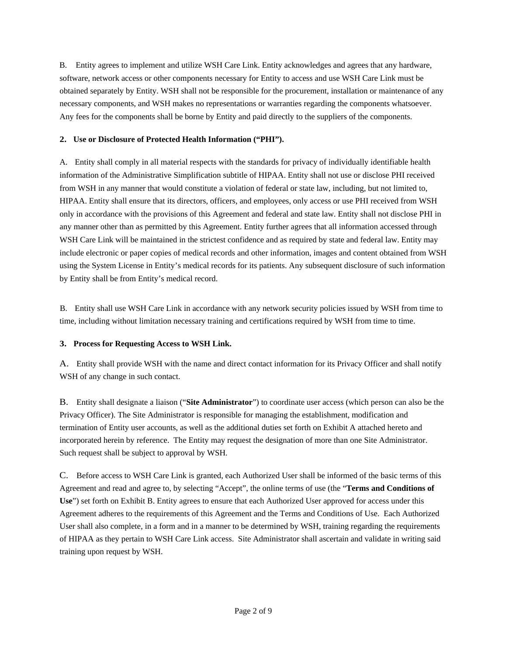B. Entity agrees to implement and utilize WSH Care Link. Entity acknowledges and agrees that any hardware, software, network access or other components necessary for Entity to access and use WSH Care Link must be obtained separately by Entity. WSH shall not be responsible for the procurement, installation or maintenance of any necessary components, and WSH makes no representations or warranties regarding the components whatsoever. Any fees for the components shall be borne by Entity and paid directly to the suppliers of the components.

# **2. Use or Disclosure of Protected Health Information ("PHI").**

A. Entity shall comply in all material respects with the standards for privacy of individually identifiable health information of the Administrative Simplification subtitle of HIPAA. Entity shall not use or disclose PHI received from WSH in any manner that would constitute a violation of federal or state law, including, but not limited to, HIPAA. Entity shall ensure that its directors, officers, and employees, only access or use PHI received from WSH only in accordance with the provisions of this Agreement and federal and state law. Entity shall not disclose PHI in any manner other than as permitted by this Agreement. Entity further agrees that all information accessed through WSH Care Link will be maintained in the strictest confidence and as required by state and federal law. Entity may include electronic or paper copies of medical records and other information, images and content obtained from WSH using the System License in Entity's medical records for its patients. Any subsequent disclosure of such information by Entity shall be from Entity's medical record.

B. Entity shall use WSH Care Link in accordance with any network security policies issued by WSH from time to time, including without limitation necessary training and certifications required by WSH from time to time.

# **3. Process for Requesting Access to WSH Link.**

A. Entity shall provide WSH with the name and direct contact information for its Privacy Officer and shall notify WSH of any change in such contact.

B. Entity shall designate a liaison ("**Site Administrator**") to coordinate user access (which person can also be the Privacy Officer). The Site Administrator is responsible for managing the establishment, modification and termination of Entity user accounts, as well as the additional duties set forth on Exhibit A attached hereto and incorporated herein by reference. The Entity may request the designation of more than one Site Administrator. Such request shall be subject to approval by WSH.

C. Before access to WSH Care Link is granted, each Authorized User shall be informed of the basic terms of this Agreement and read and agree to, by selecting "Accept", the online terms of use (the "**Terms and Conditions of Use**") set forth on Exhibit B. Entity agrees to ensure that each Authorized User approved for access under this Agreement adheres to the requirements of this Agreement and the Terms and Conditions of Use. Each Authorized User shall also complete, in a form and in a manner to be determined by WSH, training regarding the requirements of HIPAA as they pertain to WSH Care Link access. Site Administrator shall ascertain and validate in writing said training upon request by WSH.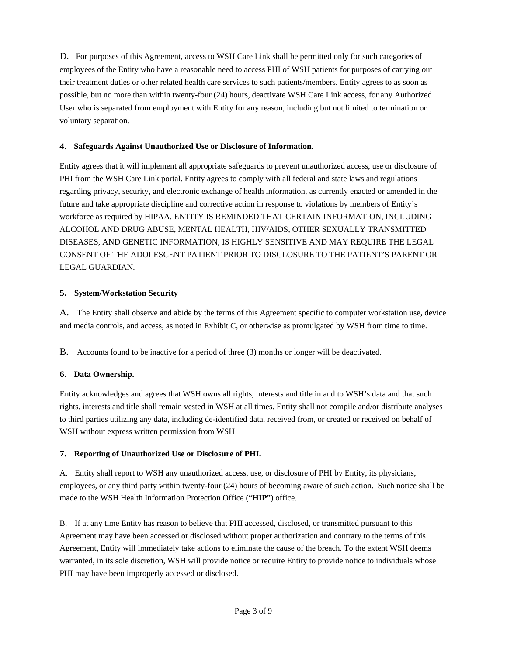D. For purposes of this Agreement, access to WSH Care Link shall be permitted only for such categories of employees of the Entity who have a reasonable need to access PHI of WSH patients for purposes of carrying out their treatment duties or other related health care services to such patients/members. Entity agrees to as soon as possible, but no more than within twenty-four (24) hours, deactivate WSH Care Link access, for any Authorized User who is separated from employment with Entity for any reason, including but not limited to termination or voluntary separation.

# **4. Safeguards Against Unauthorized Use or Disclosure of Information.**

Entity agrees that it will implement all appropriate safeguards to prevent unauthorized access, use or disclosure of PHI from the WSH Care Link portal. Entity agrees to comply with all federal and state laws and regulations regarding privacy, security, and electronic exchange of health information, as currently enacted or amended in the future and take appropriate discipline and corrective action in response to violations by members of Entity's workforce as required by HIPAA. ENTITY IS REMINDED THAT CERTAIN INFORMATION, INCLUDING ALCOHOL AND DRUG ABUSE, MENTAL HEALTH, HIV/AIDS, OTHER SEXUALLY TRANSMITTED DISEASES, AND GENETIC INFORMATION, IS HIGHLY SENSITIVE AND MAY REQUIRE THE LEGAL CONSENT OF THE ADOLESCENT PATIENT PRIOR TO DISCLOSURE TO THE PATIENT'S PARENT OR LEGAL GUARDIAN.

# **5. System/Workstation Security**

A. The Entity shall observe and abide by the terms of this Agreement specific to computer workstation use, device and media controls, and access, as noted in Exhibit C, or otherwise as promulgated by WSH from time to time.

B. Accounts found to be inactive for a period of three (3) months or longer will be deactivated.

# **6. Data Ownership.**

Entity acknowledges and agrees that WSH owns all rights, interests and title in and to WSH's data and that such rights, interests and title shall remain vested in WSH at all times. Entity shall not compile and/or distribute analyses to third parties utilizing any data, including de-identified data, received from, or created or received on behalf of WSH without express written permission from WSH

### **7. Reporting of Unauthorized Use or Disclosure of PHI.**

A. Entity shall report to WSH any unauthorized access, use, or disclosure of PHI by Entity, its physicians, employees, or any third party within twenty-four (24) hours of becoming aware of such action. Such notice shall be made to the WSH Health Information Protection Office ("**HIP**") office.

B. If at any time Entity has reason to believe that PHI accessed, disclosed, or transmitted pursuant to this Agreement may have been accessed or disclosed without proper authorization and contrary to the terms of this Agreement, Entity will immediately take actions to eliminate the cause of the breach. To the extent WSH deems warranted, in its sole discretion, WSH will provide notice or require Entity to provide notice to individuals whose PHI may have been improperly accessed or disclosed.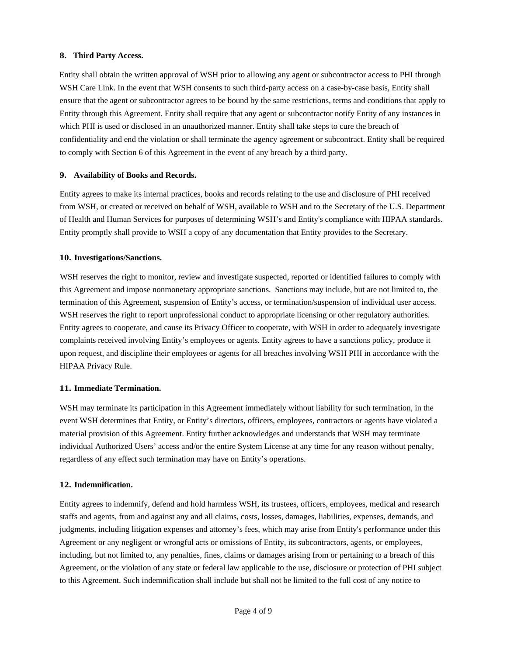### **8. Third Party Access.**

Entity shall obtain the written approval of WSH prior to allowing any agent or subcontractor access to PHI through WSH Care Link. In the event that WSH consents to such third-party access on a case-by-case basis, Entity shall ensure that the agent or subcontractor agrees to be bound by the same restrictions, terms and conditions that apply to Entity through this Agreement. Entity shall require that any agent or subcontractor notify Entity of any instances in which PHI is used or disclosed in an unauthorized manner. Entity shall take steps to cure the breach of confidentiality and end the violation or shall terminate the agency agreement or subcontract. Entity shall be required to comply with Section 6 of this Agreement in the event of any breach by a third party.

#### **9. Availability of Books and Records.**

Entity agrees to make its internal practices, books and records relating to the use and disclosure of PHI received from WSH, or created or received on behalf of WSH, available to WSH and to the Secretary of the U.S. Department of Health and Human Services for purposes of determining WSH's and Entity's compliance with HIPAA standards. Entity promptly shall provide to WSH a copy of any documentation that Entity provides to the Secretary.

#### **10. Investigations/Sanctions.**

WSH reserves the right to monitor, review and investigate suspected, reported or identified failures to comply with this Agreement and impose nonmonetary appropriate sanctions. Sanctions may include, but are not limited to, the termination of this Agreement, suspension of Entity's access, or termination/suspension of individual user access. WSH reserves the right to report unprofessional conduct to appropriate licensing or other regulatory authorities. Entity agrees to cooperate, and cause its Privacy Officer to cooperate, with WSH in order to adequately investigate complaints received involving Entity's employees or agents. Entity agrees to have a sanctions policy, produce it upon request, and discipline their employees or agents for all breaches involving WSH PHI in accordance with the HIPAA Privacy Rule.

#### **11. Immediate Termination.**

WSH may terminate its participation in this Agreement immediately without liability for such termination, in the event WSH determines that Entity, or Entity's directors, officers, employees, contractors or agents have violated a material provision of this Agreement. Entity further acknowledges and understands that WSH may terminate individual Authorized Users' access and/or the entire System License at any time for any reason without penalty, regardless of any effect such termination may have on Entity's operations.

### **12. Indemnification.**

Entity agrees to indemnify, defend and hold harmless WSH, its trustees, officers, employees, medical and research staffs and agents, from and against any and all claims, costs, losses, damages, liabilities, expenses, demands, and judgments, including litigation expenses and attorney's fees, which may arise from Entity's performance under this Agreement or any negligent or wrongful acts or omissions of Entity, its subcontractors, agents, or employees, including, but not limited to, any penalties, fines, claims or damages arising from or pertaining to a breach of this Agreement, or the violation of any state or federal law applicable to the use, disclosure or protection of PHI subject to this Agreement. Such indemnification shall include but shall not be limited to the full cost of any notice to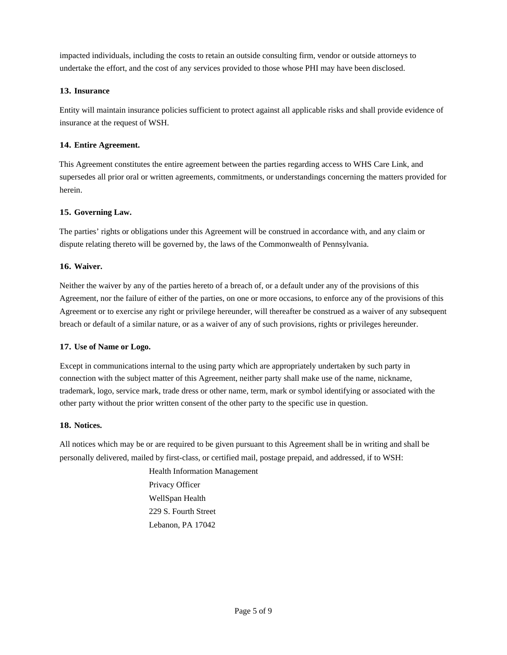impacted individuals, including the costs to retain an outside consulting firm, vendor or outside attorneys to undertake the effort, and the cost of any services provided to those whose PHI may have been disclosed.

# **13. Insurance**

Entity will maintain insurance policies sufficient to protect against all applicable risks and shall provide evidence of insurance at the request of WSH.

# **14. Entire Agreement.**

This Agreement constitutes the entire agreement between the parties regarding access to WHS Care Link, and supersedes all prior oral or written agreements, commitments, or understandings concerning the matters provided for herein.

# **15. Governing Law.**

The parties' rights or obligations under this Agreement will be construed in accordance with, and any claim or dispute relating thereto will be governed by, the laws of the Commonwealth of Pennsylvania.

# **16. Waiver.**

Neither the waiver by any of the parties hereto of a breach of, or a default under any of the provisions of this Agreement, nor the failure of either of the parties, on one or more occasions, to enforce any of the provisions of this Agreement or to exercise any right or privilege hereunder, will thereafter be construed as a waiver of any subsequent breach or default of a similar nature, or as a waiver of any of such provisions, rights or privileges hereunder.

### **17. Use of Name or Logo.**

Except in communications internal to the using party which are appropriately undertaken by such party in connection with the subject matter of this Agreement, neither party shall make use of the name, nickname, trademark, logo, service mark, trade dress or other name, term, mark or symbol identifying or associated with the other party without the prior written consent of the other party to the specific use in question.

### **18. Notices.**

All notices which may be or are required to be given pursuant to this Agreement shall be in writing and shall be personally delivered, mailed by first-class, or certified mail, postage prepaid, and addressed, if to WSH:

> Health Information Management Privacy Officer WellSpan Health 229 S. Fourth Street Lebanon, PA 17042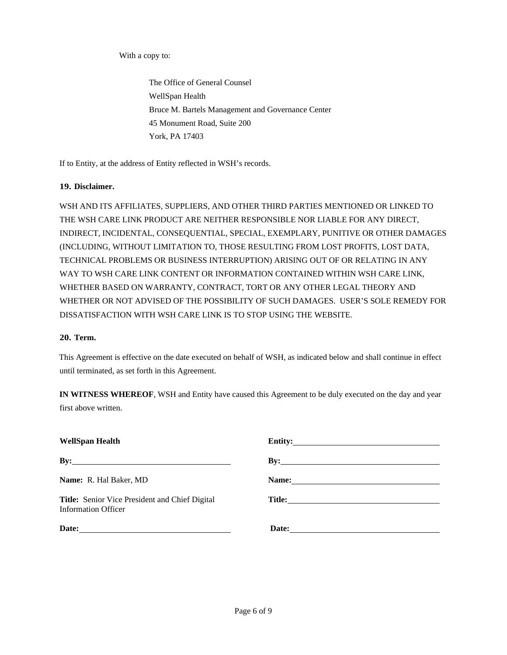With a copy to:

 The Office of General Counsel WellSpan Health Bruce M. Bartels Management and Governance Center 45 Monument Road, Suite 200 York, PA 17403

If to Entity, at the address of Entity reflected in WSH's records.

# **19. Disclaimer.**

WSH AND ITS AFFILIATES, SUPPLIERS, AND OTHER THIRD PARTIES MENTIONED OR LINKED TO THE WSH CARE LINK PRODUCT ARE NEITHER RESPONSIBLE NOR LIABLE FOR ANY DIRECT, INDIRECT, INCIDENTAL, CONSEQUENTIAL, SPECIAL, EXEMPLARY, PUNITIVE OR OTHER DAMAGES (INCLUDING, WITHOUT LIMITATION TO, THOSE RESULTING FROM LOST PROFITS, LOST DATA, TECHNICAL PROBLEMS OR BUSINESS INTERRUPTION) ARISING OUT OF OR RELATING IN ANY WAY TO WSH CARE LINK CONTENT OR INFORMATION CONTAINED WITHIN WSH CARE LINK, WHETHER BASED ON WARRANTY, CONTRACT, TORT OR ANY OTHER LEGAL THEORY AND WHETHER OR NOT ADVISED OF THE POSSIBILITY OF SUCH DAMAGES. USER'S SOLE REMEDY FOR DISSATISFACTION WITH WSH CARE LINK IS TO STOP USING THE WEBSITE.

### **20. Term.**

This Agreement is effective on the date executed on behalf of WSH, as indicated below and shall continue in effect until terminated, as set forth in this Agreement.

**IN WITNESS WHEREOF**, WSH and Entity have caused this Agreement to be duly executed on the day and year first above written.

| <b>WellSpan Health</b>                                                | Entity:                   |  |
|-----------------------------------------------------------------------|---------------------------|--|
| $\mathbf{B} \mathbf{y}$ :                                             | $\mathbf{B} \mathbf{y}$ : |  |
| Name: R. Hal Baker, MD                                                |                           |  |
| Title: Senior Vice President and Chief Digital<br>Information Officer |                           |  |
|                                                                       |                           |  |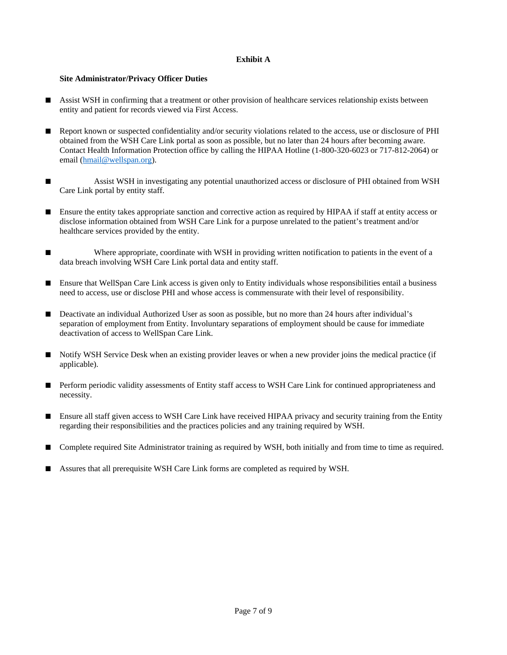# **Exhibit A**

### **Site Administrator/Privacy Officer Duties**

- Assist WSH in confirming that a treatment or other provision of healthcare services relationship exists between entity and patient for records viewed via First Access.
- Report known or suspected confidentiality and/or security violations related to the access, use or disclosure of PHI obtained from the WSH Care Link portal as soon as possible, but no later than 24 hours after becoming aware. Contact Health Information Protection office by calling the HIPAA Hotline (1-800-320-6023 or 717-812-2064) or email (hmail@wellspan.org).
- Assist WSH in investigating any potential unauthorized access or disclosure of PHI obtained from WSH Care Link portal by entity staff.
- Ensure the entity takes appropriate sanction and corrective action as required by HIPAA if staff at entity access or disclose information obtained from WSH Care Link for a purpose unrelated to the patient's treatment and/or healthcare services provided by the entity.
- Where appropriate, coordinate with WSH in providing written notification to patients in the event of a data breach involving WSH Care Link portal data and entity staff.
- Ensure that WellSpan Care Link access is given only to Entity individuals whose responsibilities entail a business need to access, use or disclose PHI and whose access is commensurate with their level of responsibility.
- Deactivate an individual Authorized User as soon as possible, but no more than 24 hours after individual's separation of employment from Entity. Involuntary separations of employment should be cause for immediate deactivation of access to WellSpan Care Link.
- Notify WSH Service Desk when an existing provider leaves or when a new provider joins the medical practice (if applicable).
- Perform periodic validity assessments of Entity staff access to WSH Care Link for continued appropriateness and necessity.
- Ensure all staff given access to WSH Care Link have received HIPAA privacy and security training from the Entity regarding their responsibilities and the practices policies and any training required by WSH.
- Complete required Site Administrator training as required by WSH, both initially and from time to time as required.
- Assures that all prerequisite WSH Care Link forms are completed as required by WSH.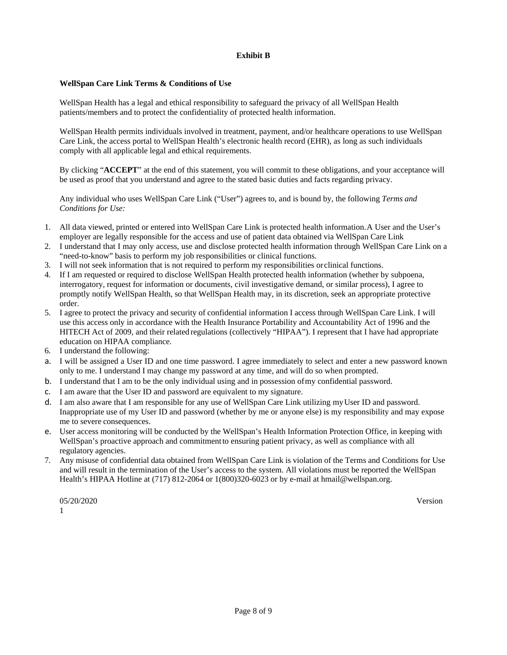### **Exhibit B**

### **WellSpan Care Link Terms & Conditions of Use**

WellSpan Health has a legal and ethical responsibility to safeguard the privacy of all WellSpan Health patients/members and to protect the confidentiality of protected health information.

WellSpan Health permits individuals involved in treatment, payment, and/or healthcare operations to use WellSpan Care Link, the access portal to WellSpan Health's electronic health record (EHR), as long as such individuals comply with all applicable legal and ethical requirements.

By clicking "**ACCEPT**" at the end of this statement, you will commit to these obligations, and your acceptance will be used as proof that you understand and agree to the stated basic duties and facts regarding privacy.

Any individual who uses WellSpan Care Link ("User") agrees to, and is bound by, the following *Terms and Conditions for Use:* 

- 1. All data viewed, printed or entered into WellSpan Care Link is protected health information. A User and the User's employer are legally responsible for the access and use of patient data obtained via WellSpan Care Link
- 2. I understand that I may only access, use and disclose protected health information through WellSpan Care Link on a "need-to-know" basis to perform my job responsibilities or clinical functions.
- 3. I will not seek information that is not required to perform my responsibilities or clinical functions.
- 4. If I am requested or required to disclose WellSpan Health protected health information (whether by subpoena, interrogatory, request for information or documents, civil investigative demand, or similar process), I agree to promptly notify WellSpan Health, so that WellSpan Health may, in its discretion, seek an appropriate protective order.
- 5. I agree to protect the privacy and security of confidential information I access through WellSpan Care Link. I will use this access only in accordance with the Health Insurance Portability and Accountability Act of 1996 and the HITECH Act of 2009, and their related regulations (collectively "HIPAA"). I represent that I have had appropriate education on HIPAA compliance.
- 6. I understand the following:
- a. I will be assigned a User ID and one time password. I agree immediately to select and enter a new password known only to me. I understand I may change my password at any time, and will do so when prompted.
- b. I understand that I am to be the only individual using and in possession of my confidential password.
- c. I am aware that the User ID and password are equivalent to my signature.
- d. I am also aware that I am responsible for any use of WellSpan Care Link utilizing my User ID and password. Inappropriate use of my User ID and password (whether by me or anyone else) is my responsibility and may expose me to severe consequences.
- e. User access monitoring will be conducted by the WellSpan's Health Information Protection Office, in keeping with WellSpan's proactive approach and commitment to ensuring patient privacy, as well as compliance with all regulatory agencies.
- 7. Any misuse of confidential data obtained from WellSpan Care Link is violation of the Terms and Conditions for Use and will result in the termination of the User's access to the system. All violations must be reported the WellSpan Health's HIPAA Hotline at (717) 812-2064 or 1(800)320-6023 or by e-mail at hmail@wellspan.org.

05/20/2020 Version Version Version Version Version Version Version Version Version Version Version Version Ve 1